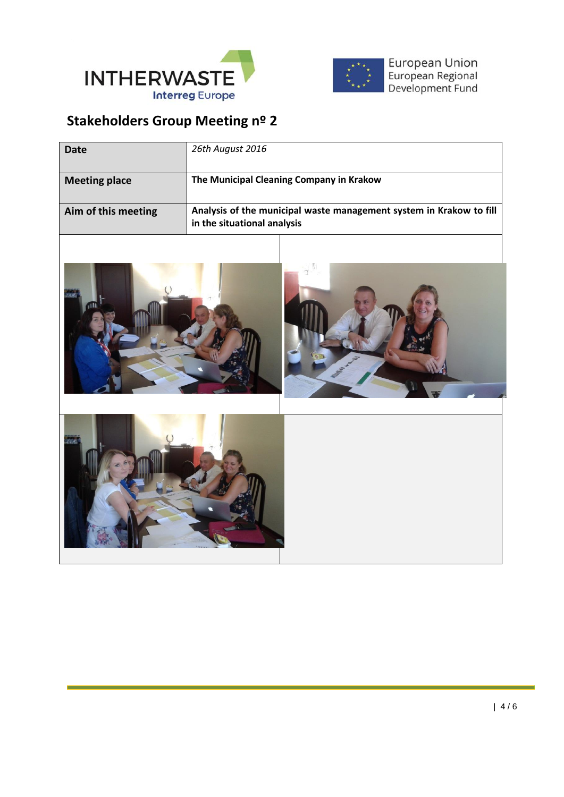



European Union<br>European Regional<br>Development Fund

## **Stakeholders Group Meeting nº 2**

| <b>Date</b>          | 26th August 2016                                                                                   |
|----------------------|----------------------------------------------------------------------------------------------------|
| <b>Meeting place</b> | The Municipal Cleaning Company in Krakow                                                           |
| Aim of this meeting  | Analysis of the municipal waste management system in Krakow to fill<br>in the situational analysis |
|                      |                                                                                                    |
|                      |                                                                                                    |